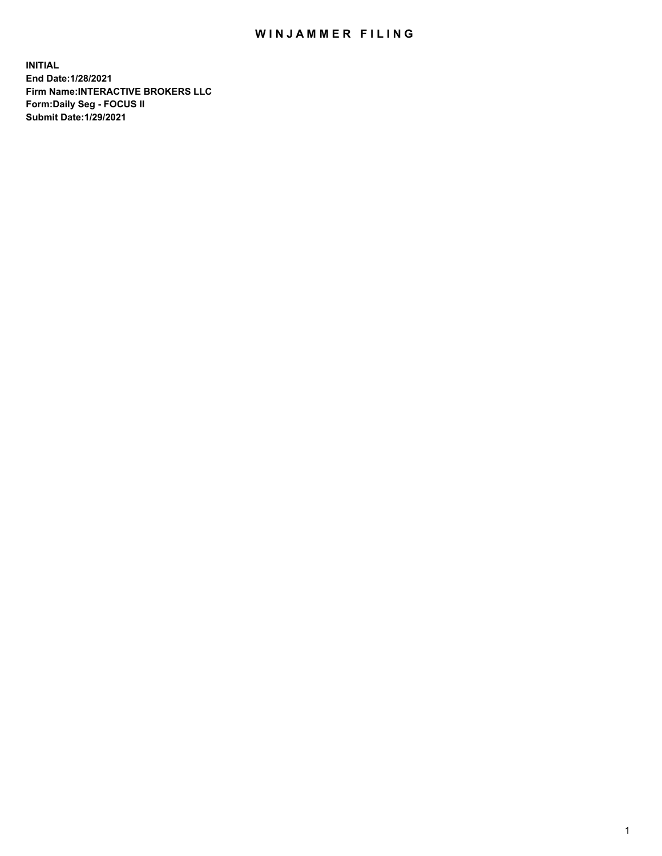## WIN JAMMER FILING

**INITIAL End Date:1/28/2021 Firm Name:INTERACTIVE BROKERS LLC Form:Daily Seg - FOCUS II Submit Date:1/29/2021**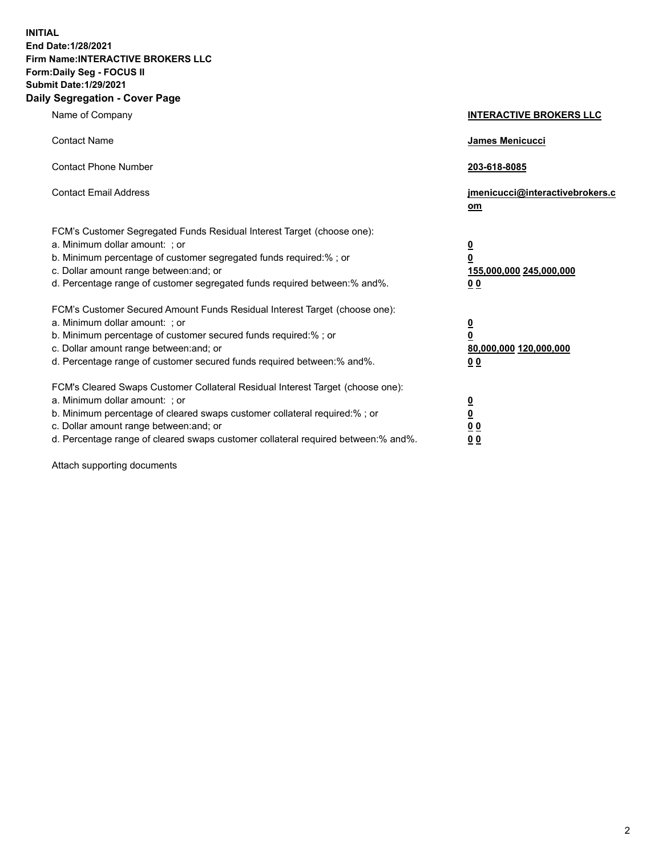**INITIAL End Date:1/28/2021 Firm Name:INTERACTIVE BROKERS LLC Form:Daily Seg - FOCUS II Submit Date:1/29/2021 Daily Segregation - Cover Page**

| Name of Company                                                                                                                                                                                                                                                                                                                | <b>INTERACTIVE BROKERS LLC</b>                                                   |
|--------------------------------------------------------------------------------------------------------------------------------------------------------------------------------------------------------------------------------------------------------------------------------------------------------------------------------|----------------------------------------------------------------------------------|
| <b>Contact Name</b>                                                                                                                                                                                                                                                                                                            | James Menicucci                                                                  |
| <b>Contact Phone Number</b>                                                                                                                                                                                                                                                                                                    | 203-618-8085                                                                     |
| <b>Contact Email Address</b>                                                                                                                                                                                                                                                                                                   | jmenicucci@interactivebrokers.c<br>om                                            |
| FCM's Customer Segregated Funds Residual Interest Target (choose one):<br>a. Minimum dollar amount: ; or<br>b. Minimum percentage of customer segregated funds required:% ; or<br>c. Dollar amount range between: and; or<br>d. Percentage range of customer segregated funds required between:% and%.                         | <u>0</u><br>$\overline{\mathbf{0}}$<br>155,000,000 245,000,000<br>0 <sub>0</sub> |
| FCM's Customer Secured Amount Funds Residual Interest Target (choose one):<br>a. Minimum dollar amount: ; or<br>b. Minimum percentage of customer secured funds required:% ; or<br>c. Dollar amount range between: and; or<br>d. Percentage range of customer secured funds required between:% and%.                           | <u>0</u><br>$\overline{\mathbf{0}}$<br>80,000,000 120,000,000<br>0 <sub>0</sub>  |
| FCM's Cleared Swaps Customer Collateral Residual Interest Target (choose one):<br>a. Minimum dollar amount: ; or<br>b. Minimum percentage of cleared swaps customer collateral required:% ; or<br>c. Dollar amount range between: and; or<br>d. Percentage range of cleared swaps customer collateral required between:% and%. | <u>0</u><br>$\underline{\mathbf{0}}$<br>0 <sub>0</sub><br>0 <sub>0</sub>         |

Attach supporting documents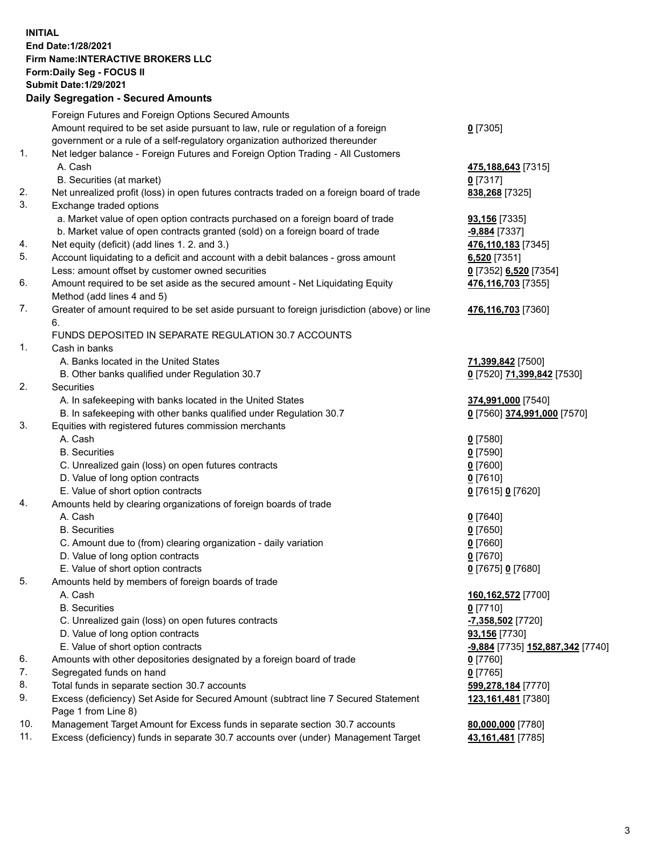**INITIAL End Date:1/28/2021 Firm Name:INTERACTIVE BROKERS LLC Form:Daily Seg - FOCUS II Submit Date:1/29/2021 Daily Segregation - Secured Amounts**

## Foreign Futures and Foreign Options Secured Amounts Amount required to be set aside pursuant to law, rule or regulation of a foreign government or a rule of a self-regulatory organization authorized thereunder **0** [7305] 1. Net ledger balance - Foreign Futures and Foreign Option Trading - All Customers A. Cash **475,188,643** [7315] B. Securities (at market) **0** [7317] 2. Net unrealized profit (loss) in open futures contracts traded on a foreign board of trade **838,268** [7325] 3. Exchange traded options a. Market value of open option contracts purchased on a foreign board of trade **93,156** [7335] b. Market value of open contracts granted (sold) on a foreign board of trade **-9,884** [7337] 4. Net equity (deficit) (add lines 1. 2. and 3.) **476,110,183** [7345] 5. Account liquidating to a deficit and account with a debit balances - gross amount **6,520** [7351] Less: amount offset by customer owned securities **0** [7352] **6,520** [7354] 6. Amount required to be set aside as the secured amount - Net Liquidating Equity Method (add lines 4 and 5) **476,116,703** [7355] 7. Greater of amount required to be set aside pursuant to foreign jurisdiction (above) or line 6. **476,116,703** [7360] FUNDS DEPOSITED IN SEPARATE REGULATION 30.7 ACCOUNTS 1. Cash in banks A. Banks located in the United States **71,399,842** [7500] B. Other banks qualified under Regulation 30.7 **0** [7520] **71,399,842** [7530] 2. Securities A. In safekeeping with banks located in the United States **374,991,000** [7540] B. In safekeeping with other banks qualified under Regulation 30.7 **0** [7560] **374,991,000** [7570] 3. Equities with registered futures commission merchants A. Cash **0** [7580] B. Securities **0** [7590] C. Unrealized gain (loss) on open futures contracts **0** [7600] D. Value of long option contracts **0** [7610] E. Value of short option contracts **0** [7615] **0** [7620] 4. Amounts held by clearing organizations of foreign boards of trade A. Cash **0** [7640] B. Securities **0** [7650] C. Amount due to (from) clearing organization - daily variation **0** [7660] D. Value of long option contracts **0** [7670] E. Value of short option contracts **0** [7675] **0** [7680] 5. Amounts held by members of foreign boards of trade A. Cash **160,162,572** [7700] B. Securities **0** [7710] C. Unrealized gain (loss) on open futures contracts **-7,358,502** [7720] D. Value of long option contracts **93,156** [7730] E. Value of short option contracts **-9,884** [7735] **152,887,342** [7740] 6. Amounts with other depositories designated by a foreign board of trade **0** [7760] 7. Segregated funds on hand **0** [7765] 8. Total funds in separate section 30.7 accounts **599,278,184** [7770] 9. Excess (deficiency) Set Aside for Secured Amount (subtract line 7 Secured Statement Page 1 from Line 8) **123,161,481** [7380] 10. Management Target Amount for Excess funds in separate section 30.7 accounts **80,000,000** [7780] 11. Excess (deficiency) funds in separate 30.7 accounts over (under) Management Target **43,161,481** [7785]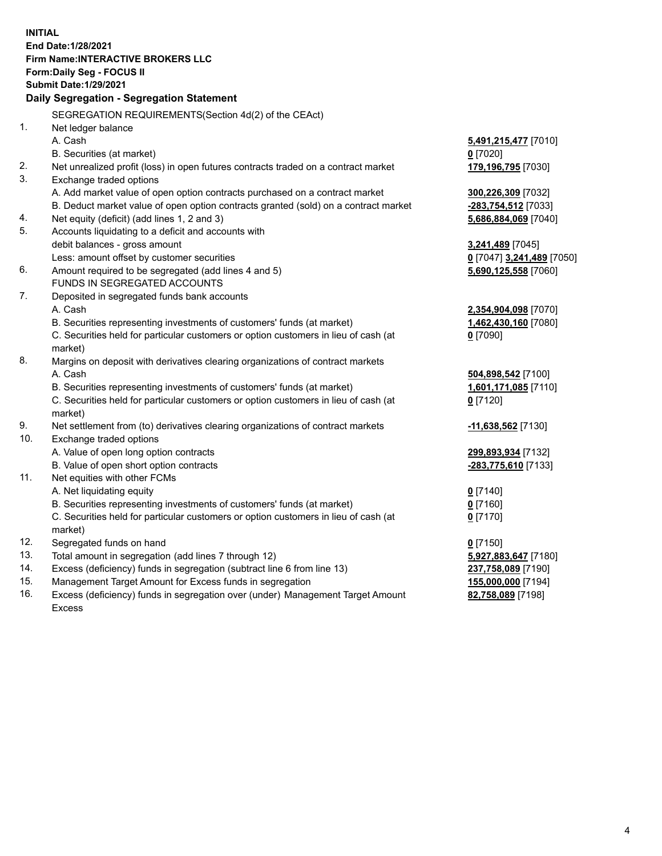**INITIAL End Date:1/28/2021 Firm Name:INTERACTIVE BROKERS LLC Form:Daily Seg - FOCUS II Submit Date:1/29/2021 Daily Segregation - Segregation Statement** SEGREGATION REQUIREMENTS(Section 4d(2) of the CEAct) 1. Net ledger balance A. Cash **5,491,215,477** [7010] B. Securities (at market) **0** [7020] 2. Net unrealized profit (loss) in open futures contracts traded on a contract market **179,196,795** [7030] 3. Exchange traded options A. Add market value of open option contracts purchased on a contract market **300,226,309** [7032] B. Deduct market value of open option contracts granted (sold) on a contract market **-283,754,512** [7033] 4. Net equity (deficit) (add lines 1, 2 and 3) **5,686,884,069** [7040] 5. Accounts liquidating to a deficit and accounts with debit balances - gross amount **3,241,489** [7045] Less: amount offset by customer securities **0** [7047] **3,241,489** [7050] 6. Amount required to be segregated (add lines 4 and 5) **5,690,125,558** [7060] FUNDS IN SEGREGATED ACCOUNTS 7. Deposited in segregated funds bank accounts A. Cash **2,354,904,098** [7070] B. Securities representing investments of customers' funds (at market) **1,462,430,160** [7080] C. Securities held for particular customers or option customers in lieu of cash (at market) **0** [7090] 8. Margins on deposit with derivatives clearing organizations of contract markets A. Cash **504,898,542** [7100] B. Securities representing investments of customers' funds (at market) **1,601,171,085** [7110] C. Securities held for particular customers or option customers in lieu of cash (at market) **0** [7120] 9. Net settlement from (to) derivatives clearing organizations of contract markets **-11,638,562** [7130] 10. Exchange traded options A. Value of open long option contracts **299,893,934** [7132] B. Value of open short option contracts **-283,775,610** [7133] 11. Net equities with other FCMs A. Net liquidating equity **0** [7140] B. Securities representing investments of customers' funds (at market) **0** [7160] C. Securities held for particular customers or option customers in lieu of cash (at market) **0** [7170] 12. Segregated funds on hand **0** [7150] 13. Total amount in segregation (add lines 7 through 12) **5,927,883,647** [7180] 14. Excess (deficiency) funds in segregation (subtract line 6 from line 13) **237,758,089** [7190] 15. Management Target Amount for Excess funds in segregation **155,000,000** [7194]

16. Excess (deficiency) funds in segregation over (under) Management Target Amount Excess

**82,758,089** [7198]